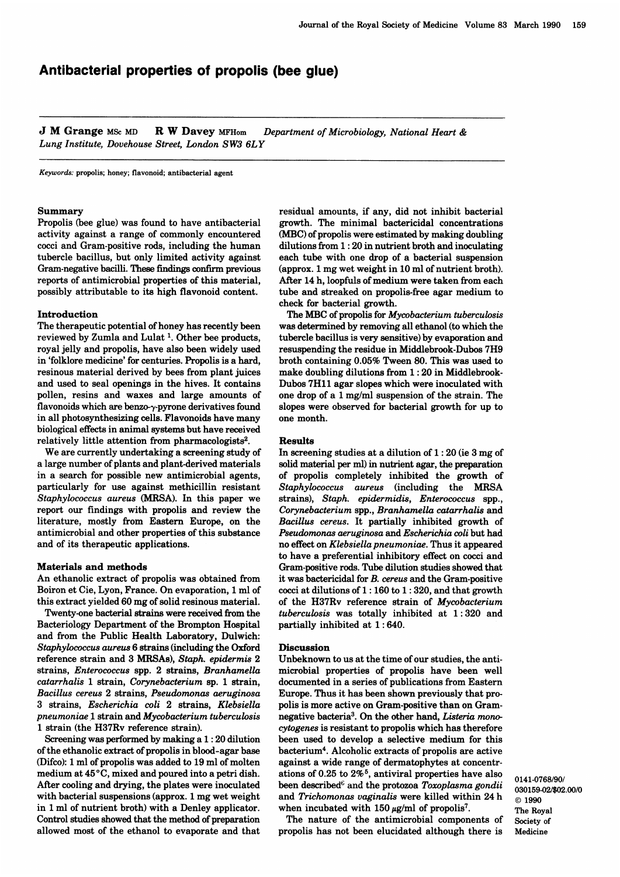# Antibacterial properties of propolis (bee glue)

**J M Grange** MSc MD R W Davey MFHom Department of Microbiology, National Heart  $\&$ Lung Institute, Dovehouse Street, London SW3 6LY

Keywords: propolis; honey; flavonoid; antibacterial agent

### Summary

Propolis (bee glue) was found to have antibacterial activity against a range of commonly encountered cocci and Gram-positive rods, including the human tubercle bacillus, but only limited activity against Gram-negative bacilli. These findings confirm previous reports of antimicrobial properties of this material, possibly attributable to its high flavonoid content.

## Introduction

The therapeutic potential of honey has recently been reviewed by Zumla and Lulat 1. Other bee products, royal jelly and propolis, have also been widely used in 'folklore medicine' for centuries. Propolis is a hard, resinous material derived by bees from plant juices and used to seal openings in the hives. It contains pollen, resins and waxes and large amounts of flavonoids which are benzo-y-pyrone derivatives found in all photosynthesizing cells. Flavonoids have many biological effects in animal systems but have received relatively little attention from pharmacologists<sup>2</sup>.

We are currently undertaking a screening study of a large number of plants and plant-derived materials in a search for possible new antimicrobial agents, particularly for use against methicillin resistant Staphylococcus aureus (MRSA). In this paper we report our findings with propolis and review the literature, mostly from Eastern Europe, on the antimicrobial and other properties of this substance and of its therapeutic applications.

### Materials and methods

An ethanolic extract of propolis was obtained from Boiron et Cie, Lyon, France. On evaporation, <sup>1</sup> ml of this extract yielded 60 mg of solid resinous material.

Twenty-one bacterial strains were received from the Bacteriology Department of the Brompton Hospital and from the Public Health Laboratory, Dulwich: Staphylococcus aureus 6 strains (including the Oxford reference strain and 3 MRSAs), Staph. epidermis 2 strains, Enterococcus spp. 2 strains, Branhamella catarrhalis 1 strain, Corynebacterium sp. 1 strain, Bacillus cereus 2 strains, Pseudomonas aeruginosa 3 strains, Escherichia coli 2 strains, Klebsiella  $p$ neumoniae  $1$  strain and  $Mycobacterium$  tuberculosis <sup>1</sup> strain (the H37Rv reference strain).

Screening was performed by making a 1: 20 dilution of the ethanolic extract of propolis in blood-agar base (Difco): 1 ml of propolis was added to 19 ml of molten medium at  $45^{\circ}$ C, mixed and poured into a petri dish. After cooling and drying, the plates were inoculated with bacterial suspensions (approx. <sup>1</sup> mg wet weight in <sup>1</sup> ml of nutrient broth) with a Denley applicator. Control studies showed that the method of preparation allowed most of the ethanol to evaporate and that

residual amounts, if any, did not inhibit bacterial growth. The minimal bactericidal concentrations (MBC) of propolis were estimated by making doubling dilutions from 1: 20 in nutrient broth and inoculating each tube with one drop of a bacterial suspension (approx. <sup>1</sup> mg wet weight in 10 ml of nutrient broth). After 14 h, loopfuls of medium were taken from each tube and streaked on propolis-free agar medium to check for bacterial growth.

The MBC of propolis for Mycobacterium tuberculosis was determined by removing all ethanol (to which the tubercle bacillus is very sensitive) by evaporation and resuspending the residue in Middlebrook-Dubos 7H9 broth containing 0.05% Tween 80. This was used to make doubling dilutions from 1: 20 in Middlebrook-Dubos 7H11 agar slopes which were inoculated with one drop of a 1 mg/ml suspension of the strain. The slopes were observed for bacterial growth for up to one month.

#### Results

In screening studies at a dilution of 1: 20 (ie <sup>3</sup> mg of solid material per ml) in nutrient agar, the preparation of propolis completely inhibited the growth of Staphylococcus aureus (including the MRSA strains), Staph. epidermidis, Enterococcus spp., Corynebacterium spp., Branhamella catarrhalis and Bacillus cereus. It partially inhibited growth of Pseudomonas aeruginosa and Escherichia coli but had no effect on Klebsiella pneumoniae. Thus it appeared to have a preferential inhibitory effect on cocci and Gram-positive rods. Tube dilution studies showed that it was bactericidal for B. cereus and the Gram-positive cocci at dilutions of 1: 160 to 1 : 320, and that growth of the H37Rv reference strain of Mycobacterium tuberculosis was totally inhibited at 1: 320 and partially inhibited at 1: 640.

#### **Discussion**

Unbeknown to us at the time of our studies, the antimicrobial properties of propolis have been well documented in a series of publications from Eastern Europe. Thus it has been shown previously that propolis is more active on Gram-positive than on Gramnegative bacteria<sup>3</sup>. On the other hand, *Listeria mono*cytogenes is resistant to propolis which has therefore been used to develop a selective medium for this bacterium4. Alcoholic extracts of propolis are active against a wide range of dermatophytes at concentrations of 0.25 to  $2\%$ <sup>5</sup>, antiviral properties have also been described<sup> $\epsilon$ </sup> and the protozoa Toxoplasma gondii and Trichomonas vaginalis were killed within 24 h when incubated with 150  $\mu$ g/ml of propolis<sup>7</sup>.

The nature of the antimicrobial components of propolis has not been elucidated although there is 0141-0768/90/ 030159-02/\$02.00/0 © 1990 The Royal Society of Medicine